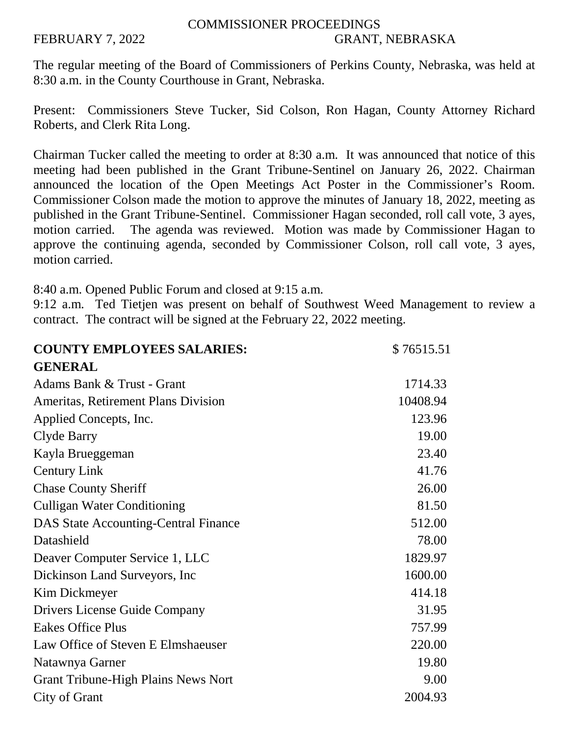## COMMISSIONER PROCEEDINGS FEBRUARY 7, 2022 GRANT, NEBRASKA

The regular meeting of the Board of Commissioners of Perkins County, Nebraska, was held at 8:30 a.m. in the County Courthouse in Grant, Nebraska.

Present: Commissioners Steve Tucker, Sid Colson, Ron Hagan, County Attorney Richard Roberts, and Clerk Rita Long.

Chairman Tucker called the meeting to order at 8:30 a.m. It was announced that notice of this meeting had been published in the Grant Tribune-Sentinel on January 26, 2022. Chairman announced the location of the Open Meetings Act Poster in the Commissioner's Room. Commissioner Colson made the motion to approve the minutes of January 18, 2022, meeting as published in the Grant Tribune-Sentinel. Commissioner Hagan seconded, roll call vote, 3 ayes, motion carried. The agenda was reviewed. Motion was made by Commissioner Hagan to approve the continuing agenda, seconded by Commissioner Colson, roll call vote, 3 ayes, motion carried.

8:40 a.m. Opened Public Forum and closed at 9:15 a.m.

9:12 a.m. Ted Tietjen was present on behalf of Southwest Weed Management to review a contract. The contract will be signed at the February 22, 2022 meeting.

| <b>COUNTY EMPLOYEES SALARIES:</b>           | \$76515.51 |
|---------------------------------------------|------------|
| <b>GENERAL</b>                              |            |
| Adams Bank & Trust - Grant                  | 1714.33    |
| <b>Ameritas, Retirement Plans Division</b>  | 10408.94   |
| Applied Concepts, Inc.                      | 123.96     |
| Clyde Barry                                 | 19.00      |
| Kayla Brueggeman                            | 23.40      |
| <b>Century Link</b>                         | 41.76      |
| <b>Chase County Sheriff</b>                 | 26.00      |
| <b>Culligan Water Conditioning</b>          | 81.50      |
| <b>DAS State Accounting-Central Finance</b> | 512.00     |
| Datashield                                  | 78.00      |
| Deaver Computer Service 1, LLC              | 1829.97    |
| Dickinson Land Surveyors, Inc.              | 1600.00    |
| Kim Dickmeyer                               | 414.18     |
| Drivers License Guide Company               | 31.95      |
| <b>Eakes Office Plus</b>                    | 757.99     |
| Law Office of Steven E Elmshaeuser          | 220.00     |
| Natawnya Garner                             | 19.80      |
| <b>Grant Tribune-High Plains News Nort</b>  | 9.00       |
| City of Grant                               | 2004.93    |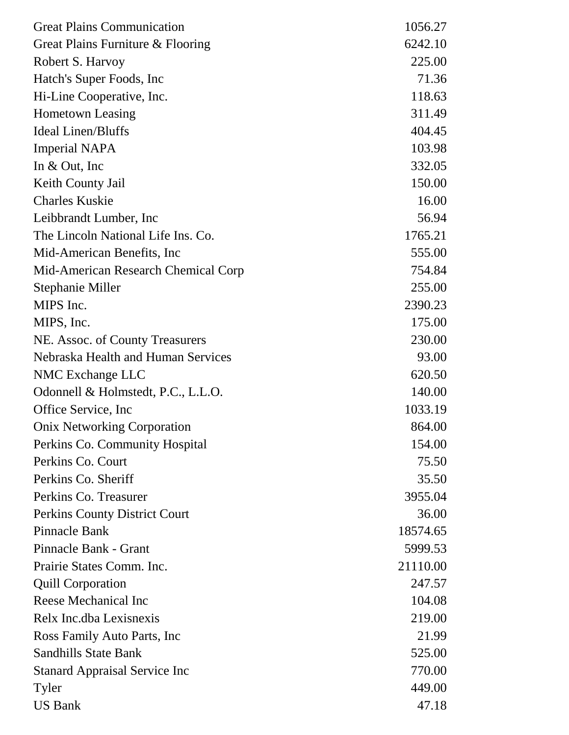| <b>Great Plains Communication</b>    | 1056.27  |
|--------------------------------------|----------|
| Great Plains Furniture & Flooring    | 6242.10  |
| Robert S. Harvoy                     | 225.00   |
| Hatch's Super Foods, Inc.            | 71.36    |
| Hi-Line Cooperative, Inc.            | 118.63   |
| <b>Hometown Leasing</b>              | 311.49   |
| <b>Ideal Linen/Bluffs</b>            | 404.45   |
| <b>Imperial NAPA</b>                 | 103.98   |
| In $& Out, Inc$                      | 332.05   |
| Keith County Jail                    | 150.00   |
| <b>Charles Kuskie</b>                | 16.00    |
| Leibbrandt Lumber, Inc.              | 56.94    |
| The Lincoln National Life Ins. Co.   | 1765.21  |
| Mid-American Benefits, Inc.          | 555.00   |
| Mid-American Research Chemical Corp  | 754.84   |
| Stephanie Miller                     | 255.00   |
| MIPS Inc.                            | 2390.23  |
| MIPS, Inc.                           | 175.00   |
| NE. Assoc. of County Treasurers      | 230.00   |
| Nebraska Health and Human Services   | 93.00    |
| NMC Exchange LLC                     | 620.50   |
| Odonnell & Holmstedt, P.C., L.L.O.   | 140.00   |
| Office Service, Inc.                 | 1033.19  |
| <b>Onix Networking Corporation</b>   | 864.00   |
| Perkins Co. Community Hospital       | 154.00   |
| Perkins Co. Court                    | 75.50    |
| Perkins Co. Sheriff                  | 35.50    |
| Perkins Co. Treasurer                | 3955.04  |
| Perkins County District Court        | 36.00    |
| Pinnacle Bank                        | 18574.65 |
| Pinnacle Bank - Grant                | 5999.53  |
| Prairie States Comm. Inc.            | 21110.00 |
| <b>Quill Corporation</b>             | 247.57   |
| Reese Mechanical Inc                 | 104.08   |
| Relx Inc.dba Lexisnexis              | 219.00   |
| Ross Family Auto Parts, Inc.         | 21.99    |
| <b>Sandhills State Bank</b>          | 525.00   |
| <b>Stanard Appraisal Service Inc</b> | 770.00   |
| Tyler                                | 449.00   |
| <b>US Bank</b>                       | 47.18    |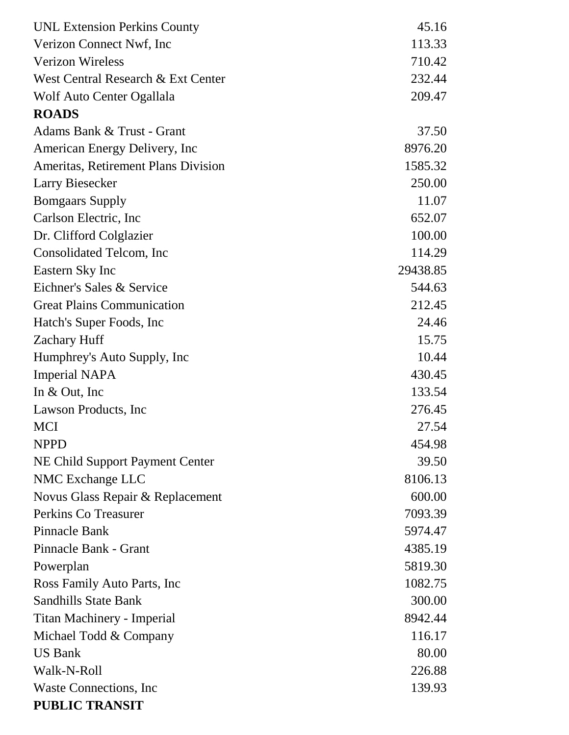| <b>UNL Extension Perkins County</b> | 45.16    |
|-------------------------------------|----------|
| Verizon Connect Nwf, Inc.           | 113.33   |
| <b>Verizon Wireless</b>             | 710.42   |
| West Central Research & Ext Center  | 232.44   |
| Wolf Auto Center Ogallala           | 209.47   |
| <b>ROADS</b>                        |          |
| Adams Bank & Trust - Grant          | 37.50    |
| American Energy Delivery, Inc       | 8976.20  |
| Ameritas, Retirement Plans Division | 1585.32  |
| Larry Biesecker                     | 250.00   |
| <b>Bomgaars Supply</b>              | 11.07    |
| Carlson Electric, Inc.              | 652.07   |
| Dr. Clifford Colglazier             | 100.00   |
| Consolidated Telcom, Inc            | 114.29   |
| Eastern Sky Inc                     | 29438.85 |
| Eichner's Sales & Service           | 544.63   |
| <b>Great Plains Communication</b>   | 212.45   |
| Hatch's Super Foods, Inc.           | 24.46    |
| <b>Zachary Huff</b>                 | 15.75    |
| Humphrey's Auto Supply, Inc         | 10.44    |
| <b>Imperial NAPA</b>                | 430.45   |
| In $& Out, Inc$                     | 133.54   |
| Lawson Products, Inc.               | 276.45   |
| <b>MCI</b>                          | 27.54    |
| <b>NPPD</b>                         | 454.98   |
| NE Child Support Payment Center     | 39.50    |
| NMC Exchange LLC                    | 8106.13  |
| Novus Glass Repair & Replacement    | 600.00   |
| Perkins Co Treasurer                | 7093.39  |
| Pinnacle Bank                       | 5974.47  |
| Pinnacle Bank - Grant               | 4385.19  |
| Powerplan                           | 5819.30  |
| Ross Family Auto Parts, Inc         | 1082.75  |
| <b>Sandhills State Bank</b>         | 300.00   |
| Titan Machinery - Imperial          | 8942.44  |
| Michael Todd & Company              | 116.17   |
| <b>US Bank</b>                      | 80.00    |
| Walk-N-Roll                         | 226.88   |
| Waste Connections, Inc.             | 139.93   |
| <b>PUBLIC TRANSIT</b>               |          |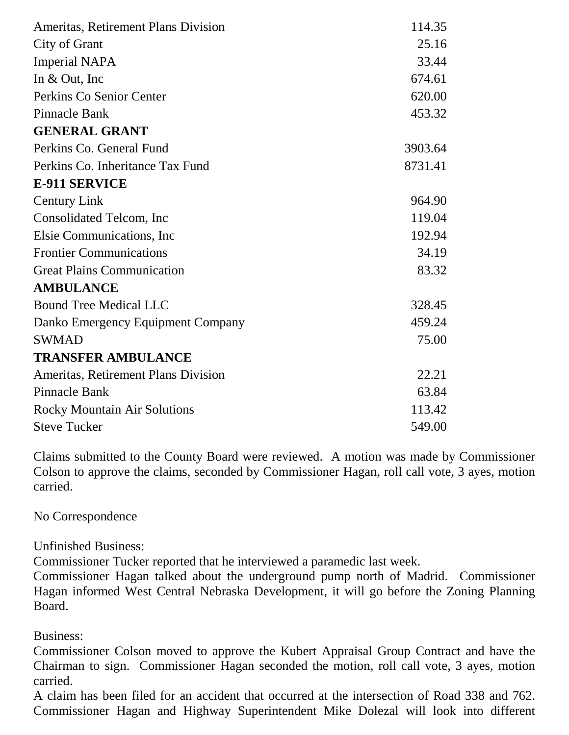| 114.35  |
|---------|
| 25.16   |
| 33.44   |
| 674.61  |
| 620.00  |
| 453.32  |
|         |
| 3903.64 |
| 8731.41 |
|         |
| 964.90  |
| 119.04  |
| 192.94  |
| 34.19   |
| 83.32   |
|         |
| 328.45  |
| 459.24  |
| 75.00   |
|         |
| 22.21   |
| 63.84   |
| 113.42  |
| 549.00  |
|         |

Claims submitted to the County Board were reviewed. A motion was made by Commissioner Colson to approve the claims, seconded by Commissioner Hagan, roll call vote, 3 ayes, motion carried.

No Correspondence

Unfinished Business:

Commissioner Tucker reported that he interviewed a paramedic last week.

Commissioner Hagan talked about the underground pump north of Madrid. Commissioner Hagan informed West Central Nebraska Development, it will go before the Zoning Planning Board.

Business:

Commissioner Colson moved to approve the Kubert Appraisal Group Contract and have the Chairman to sign. Commissioner Hagan seconded the motion, roll call vote, 3 ayes, motion carried.

A claim has been filed for an accident that occurred at the intersection of Road 338 and 762. Commissioner Hagan and Highway Superintendent Mike Dolezal will look into different